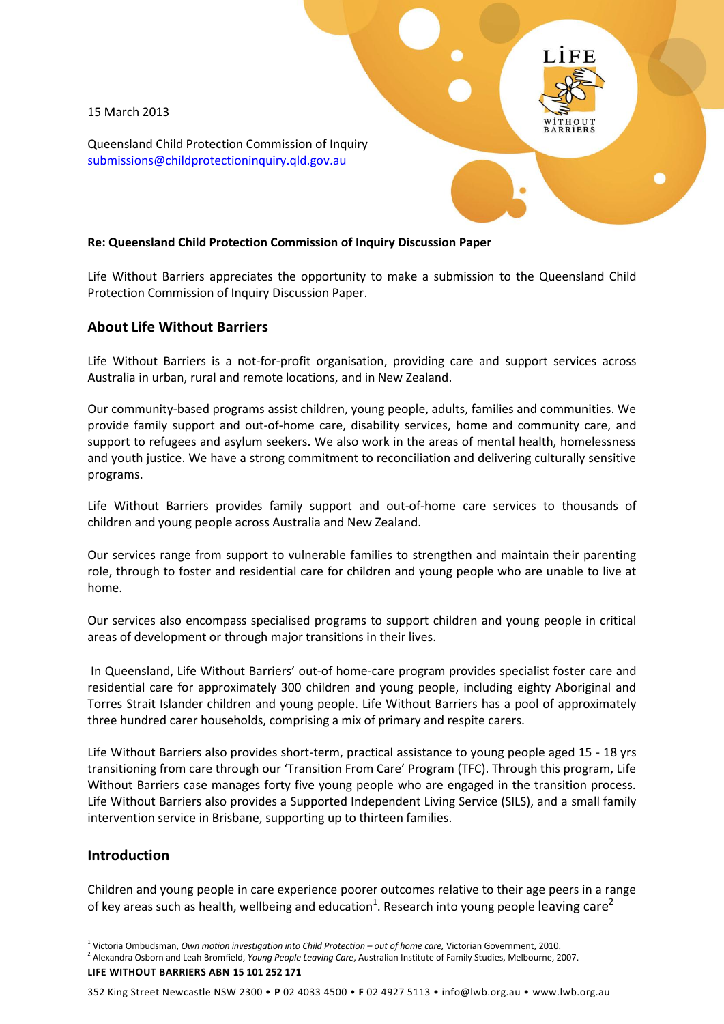15 March 2013

Queensland Child Protection Commission of Inquiry [submissions@childprotectioninquiry.qld.gov.au](mailto:submissions@childprotectioninquiry.qld.gov.au)

#### **Re: Queensland Child Protection Commission of Inquiry Discussion Paper**

Life Without Barriers appreciates the opportunity to make a submission to the Queensland Child Protection Commission of Inquiry Discussion Paper.

# **About Life Without Barriers**

Life Without Barriers is a not-for-profit organisation, providing care and support services across Australia in urban, rural and remote locations, and in New Zealand.

Our community-based programs assist children, young people, adults, families and communities. We provide family support and out-of-home care, disability services, home and community care, and support to refugees and asylum seekers. We also work in the areas of mental health, homelessness and youth justice. We have a strong commitment to reconciliation and delivering culturally sensitive programs.

Life Without Barriers provides family support and out-of-home care services to thousands of children and young people across Australia and New Zealand.

Our services range from support to vulnerable families to strengthen and maintain their parenting role, through to foster and residential care for children and young people who are unable to live at home.

Our services also encompass specialised programs to support children and young people in critical areas of development or through major transitions in their lives.

In Queensland, Life Without Barriers' out-of home-care program provides specialist foster care and residential care for approximately 300 children and young people, including eighty Aboriginal and Torres Strait Islander children and young people. Life Without Barriers has a pool of approximately three hundred carer households, comprising a mix of primary and respite carers.

Life Without Barriers also provides short-term, practical assistance to young people aged 15 - 18 yrs transitioning from care through our 'Transition From Care' Program (TFC). Through this program, Life Without Barriers case manages forty five young people who are engaged in the transition process. Life Without Barriers also provides a Supported Independent Living Service (SILS), and a small family intervention service in Brisbane, supporting up to thirteen families.

# **Introduction**

1

Children and young people in care experience poorer outcomes relative to their age peers in a range of key areas such as health, wellbeing and education<sup>1</sup>. Research into young people leaving care<sup>2</sup>

352 King Street Newcastle NSW 2300 • **P** 02 4033 4500 • **F** 02 4927 5113 • info@lwb.org.au • www.lwb.org.au

<sup>1</sup> Victoria Ombudsman, *Own motion investigation into Child Protection – out of home care,* Victorian Government, 2010.

**LIFE WITHOUT BARRIERS ABN 15 101 252 171** 2 Alexandra Osborn and Leah Bromfield, *Young People Leaving Care*, Australian Institute of Family Studies, Melbourne, 2007.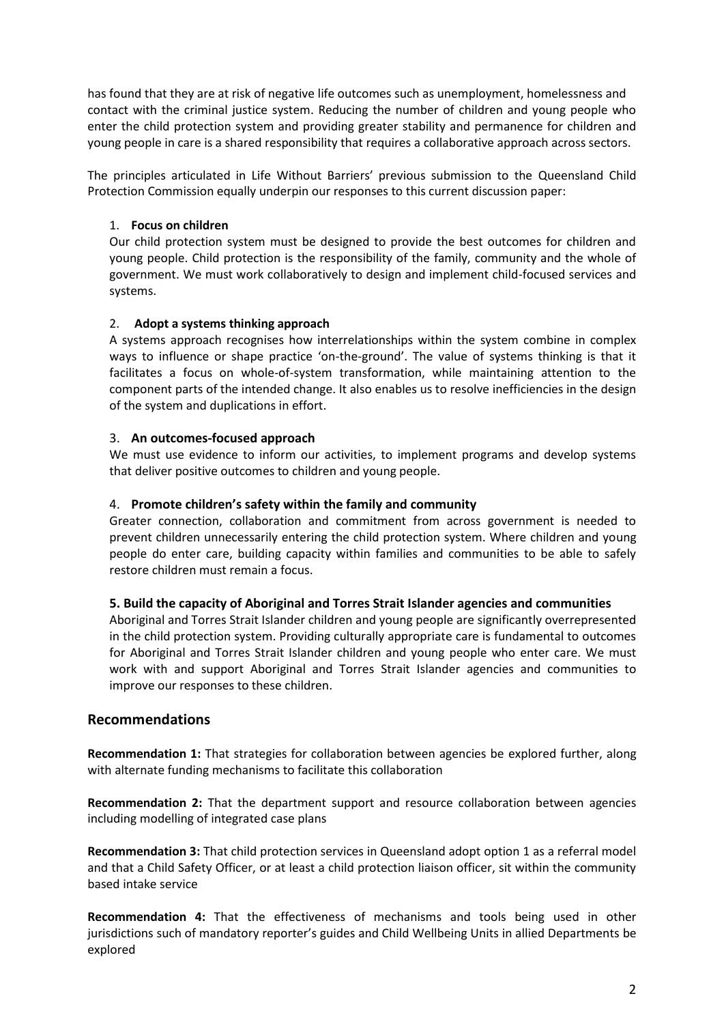has found that they are at risk of negative life outcomes such as unemployment, homelessness and contact with the criminal justice system. Reducing the number of children and young people who enter the child protection system and providing greater stability and permanence for children and young people in care is a shared responsibility that requires a collaborative approach across sectors.

The principles articulated in Life Without Barriers' previous submission to the Queensland Child Protection Commission equally underpin our responses to this current discussion paper:

### 1. **Focus on children**

Our child protection system must be designed to provide the best outcomes for children and young people. Child protection is the responsibility of the family, community and the whole of government. We must work collaboratively to design and implement child-focused services and systems.

#### 2. **Adopt a systems thinking approach**

A systems approach recognises how interrelationships within the system combine in complex ways to influence or shape practice 'on-the-ground'. The value of systems thinking is that it facilitates a focus on whole-of-system transformation, while maintaining attention to the component parts of the intended change. It also enables us to resolve inefficiencies in the design of the system and duplications in effort.

#### 3. **An outcomes-focused approach**

We must use evidence to inform our activities, to implement programs and develop systems that deliver positive outcomes to children and young people.

#### 4. **Promote children's safety within the family and community**

Greater connection, collaboration and commitment from across government is needed to prevent children unnecessarily entering the child protection system. Where children and young people do enter care, building capacity within families and communities to be able to safely restore children must remain a focus.

#### **5. Build the capacity of Aboriginal and Torres Strait Islander agencies and communities**

Aboriginal and Torres Strait Islander children and young people are significantly overrepresented in the child protection system. Providing culturally appropriate care is fundamental to outcomes for Aboriginal and Torres Strait Islander children and young people who enter care. We must work with and support Aboriginal and Torres Strait Islander agencies and communities to improve our responses to these children.

# **Recommendations**

**Recommendation 1:** That strategies for collaboration between agencies be explored further, along with alternate funding mechanisms to facilitate this collaboration

**Recommendation 2:** That the department support and resource collaboration between agencies including modelling of integrated case plans

**Recommendation 3:** That child protection services in Queensland adopt option 1 as a referral model and that a Child Safety Officer, or at least a child protection liaison officer, sit within the community based intake service

**Recommendation 4:** That the effectiveness of mechanisms and tools being used in other jurisdictions such of mandatory reporter's guides and Child Wellbeing Units in allied Departments be explored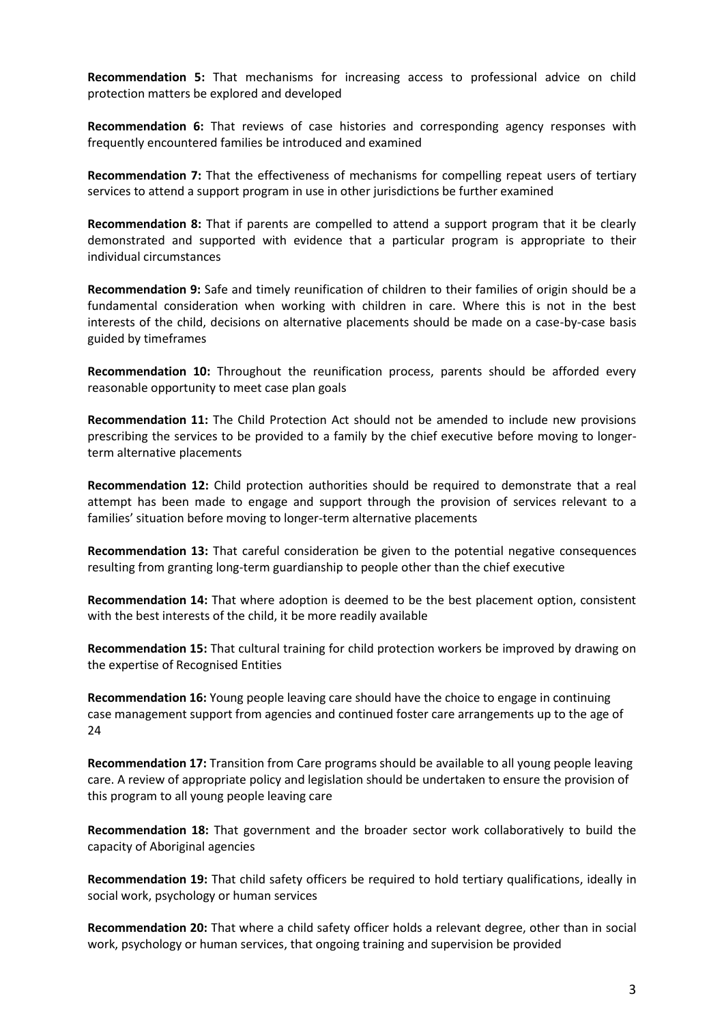**Recommendation 5:** That mechanisms for increasing access to professional advice on child protection matters be explored and developed

**Recommendation 6:** That reviews of case histories and corresponding agency responses with frequently encountered families be introduced and examined

**Recommendation 7:** That the effectiveness of mechanisms for compelling repeat users of tertiary services to attend a support program in use in other jurisdictions be further examined

**Recommendation 8:** That if parents are compelled to attend a support program that it be clearly demonstrated and supported with evidence that a particular program is appropriate to their individual circumstances

**Recommendation 9:** Safe and timely reunification of children to their families of origin should be a fundamental consideration when working with children in care. Where this is not in the best interests of the child, decisions on alternative placements should be made on a case-by-case basis guided by timeframes

**Recommendation 10:** Throughout the reunification process, parents should be afforded every reasonable opportunity to meet case plan goals

**Recommendation 11:** The Child Protection Act should not be amended to include new provisions prescribing the services to be provided to a family by the chief executive before moving to longerterm alternative placements

**Recommendation 12:** Child protection authorities should be required to demonstrate that a real attempt has been made to engage and support through the provision of services relevant to a families' situation before moving to longer-term alternative placements

**Recommendation 13:** That careful consideration be given to the potential negative consequences resulting from granting long-term guardianship to people other than the chief executive

**Recommendation 14:** That where adoption is deemed to be the best placement option, consistent with the best interests of the child, it be more readily available

**Recommendation 15:** That cultural training for child protection workers be improved by drawing on the expertise of Recognised Entities

**Recommendation 16:** Young people leaving care should have the choice to engage in continuing case management support from agencies and continued foster care arrangements up to the age of 24

**Recommendation 17:** Transition from Care programs should be available to all young people leaving care. A review of appropriate policy and legislation should be undertaken to ensure the provision of this program to all young people leaving care

**Recommendation 18:** That government and the broader sector work collaboratively to build the capacity of Aboriginal agencies

**Recommendation 19:** That child safety officers be required to hold tertiary qualifications, ideally in social work, psychology or human services

**Recommendation 20:** That where a child safety officer holds a relevant degree, other than in social work, psychology or human services, that ongoing training and supervision be provided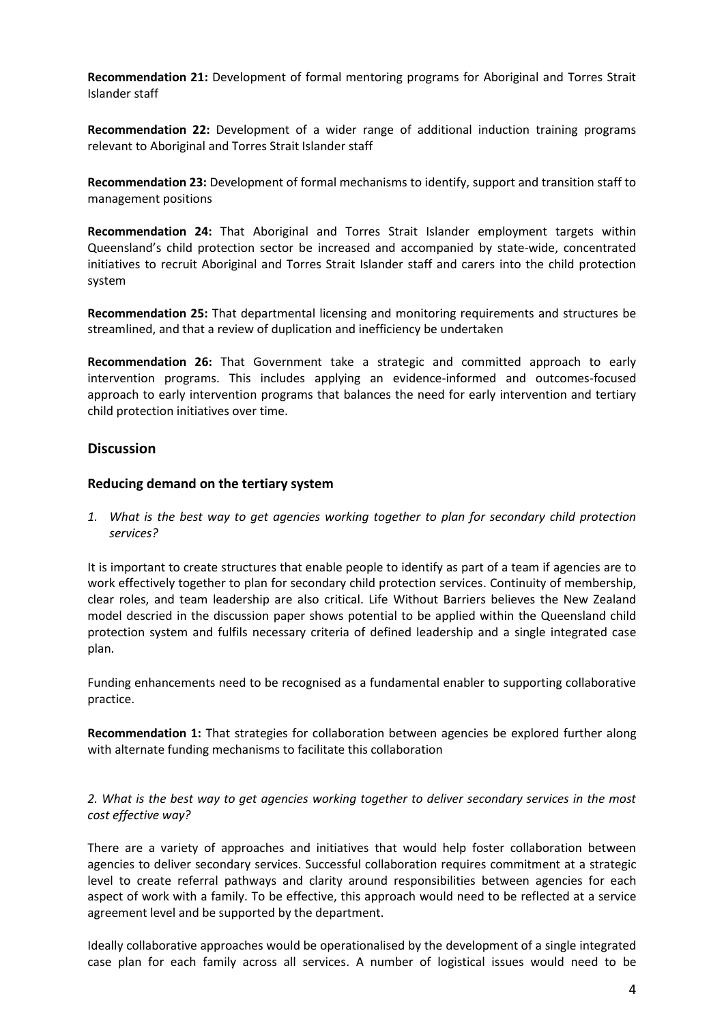**Recommendation 21:** Development of formal mentoring programs for Aboriginal and Torres Strait Islander staff

**Recommendation 22:** Development of a wider range of additional induction training programs relevant to Aboriginal and Torres Strait Islander staff

**Recommendation 23:** Development of formal mechanisms to identify, support and transition staff to management positions

**Recommendation 24:** That Aboriginal and Torres Strait Islander employment targets within Queensland's child protection sector be increased and accompanied by state-wide, concentrated initiatives to recruit Aboriginal and Torres Strait Islander staff and carers into the child protection system

**Recommendation 25:** That departmental licensing and monitoring requirements and structures be streamlined, and that a review of duplication and inefficiency be undertaken

**Recommendation 26:** That Government take a strategic and committed approach to early intervention programs. This includes applying an evidence-informed and outcomes-focused approach to early intervention programs that balances the need for early intervention and tertiary child protection initiatives over time.

# **Discussion**

#### **Reducing demand on the tertiary system**

*1. What is the best way to get agencies working together to plan for secondary child protection services?*

It is important to create structures that enable people to identify as part of a team if agencies are to work effectively together to plan for secondary child protection services. Continuity of membership, clear roles, and team leadership are also critical. Life Without Barriers believes the New Zealand model descried in the discussion paper shows potential to be applied within the Queensland child protection system and fulfils necessary criteria of defined leadership and a single integrated case plan.

Funding enhancements need to be recognised as a fundamental enabler to supporting collaborative practice.

**Recommendation 1:** That strategies for collaboration between agencies be explored further along with alternate funding mechanisms to facilitate this collaboration

#### *2. What is the best way to get agencies working together to deliver secondary services in the most cost effective way?*

There are a variety of approaches and initiatives that would help foster collaboration between agencies to deliver secondary services. Successful collaboration requires commitment at a strategic level to create referral pathways and clarity around responsibilities between agencies for each aspect of work with a family. To be effective, this approach would need to be reflected at a service agreement level and be supported by the department.

Ideally collaborative approaches would be operationalised by the development of a single integrated case plan for each family across all services. A number of logistical issues would need to be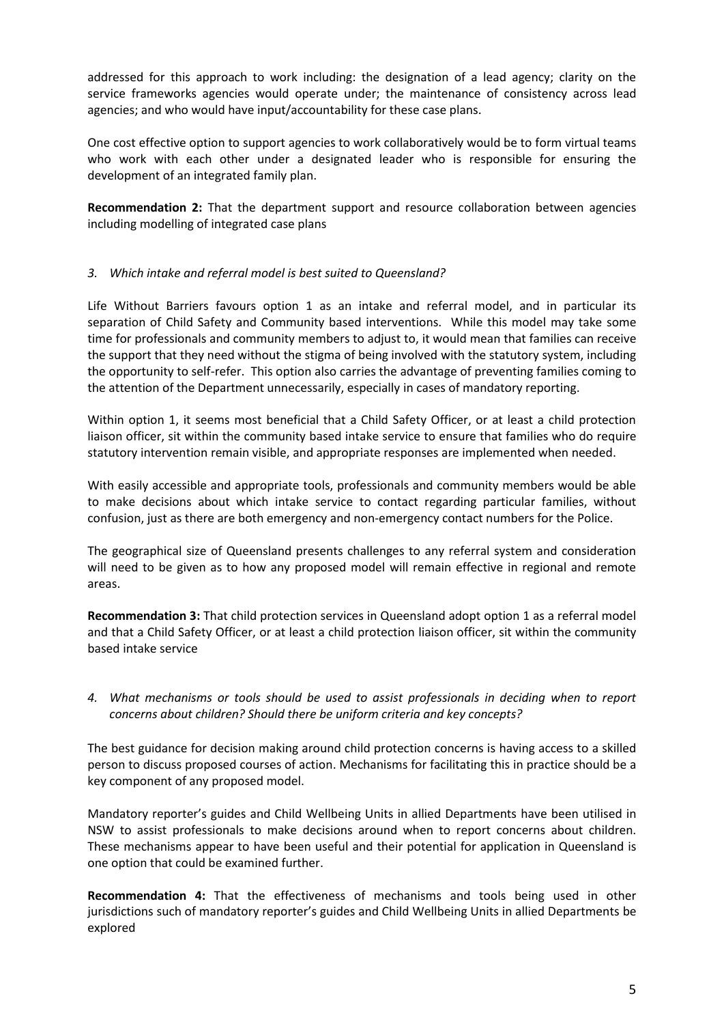addressed for this approach to work including: the designation of a lead agency; clarity on the service frameworks agencies would operate under; the maintenance of consistency across lead agencies; and who would have input/accountability for these case plans.

One cost effective option to support agencies to work collaboratively would be to form virtual teams who work with each other under a designated leader who is responsible for ensuring the development of an integrated family plan.

**Recommendation 2:** That the department support and resource collaboration between agencies including modelling of integrated case plans

# *3. Which intake and referral model is best suited to Queensland?*

Life Without Barriers favours option 1 as an intake and referral model, and in particular its separation of Child Safety and Community based interventions. While this model may take some time for professionals and community members to adjust to, it would mean that families can receive the support that they need without the stigma of being involved with the statutory system, including the opportunity to self-refer. This option also carries the advantage of preventing families coming to the attention of the Department unnecessarily, especially in cases of mandatory reporting.

Within option 1, it seems most beneficial that a Child Safety Officer, or at least a child protection liaison officer, sit within the community based intake service to ensure that families who do require statutory intervention remain visible, and appropriate responses are implemented when needed.

With easily accessible and appropriate tools, professionals and community members would be able to make decisions about which intake service to contact regarding particular families, without confusion, just as there are both emergency and non-emergency contact numbers for the Police.

The geographical size of Queensland presents challenges to any referral system and consideration will need to be given as to how any proposed model will remain effective in regional and remote areas.

**Recommendation 3:** That child protection services in Queensland adopt option 1 as a referral model and that a Child Safety Officer, or at least a child protection liaison officer, sit within the community based intake service

# *4. What mechanisms or tools should be used to assist professionals in deciding when to report concerns about children? Should there be uniform criteria and key concepts?*

The best guidance for decision making around child protection concerns is having access to a skilled person to discuss proposed courses of action. Mechanisms for facilitating this in practice should be a key component of any proposed model.

Mandatory reporter's guides and Child Wellbeing Units in allied Departments have been utilised in NSW to assist professionals to make decisions around when to report concerns about children. These mechanisms appear to have been useful and their potential for application in Queensland is one option that could be examined further.

**Recommendation 4:** That the effectiveness of mechanisms and tools being used in other jurisdictions such of mandatory reporter's guides and Child Wellbeing Units in allied Departments be explored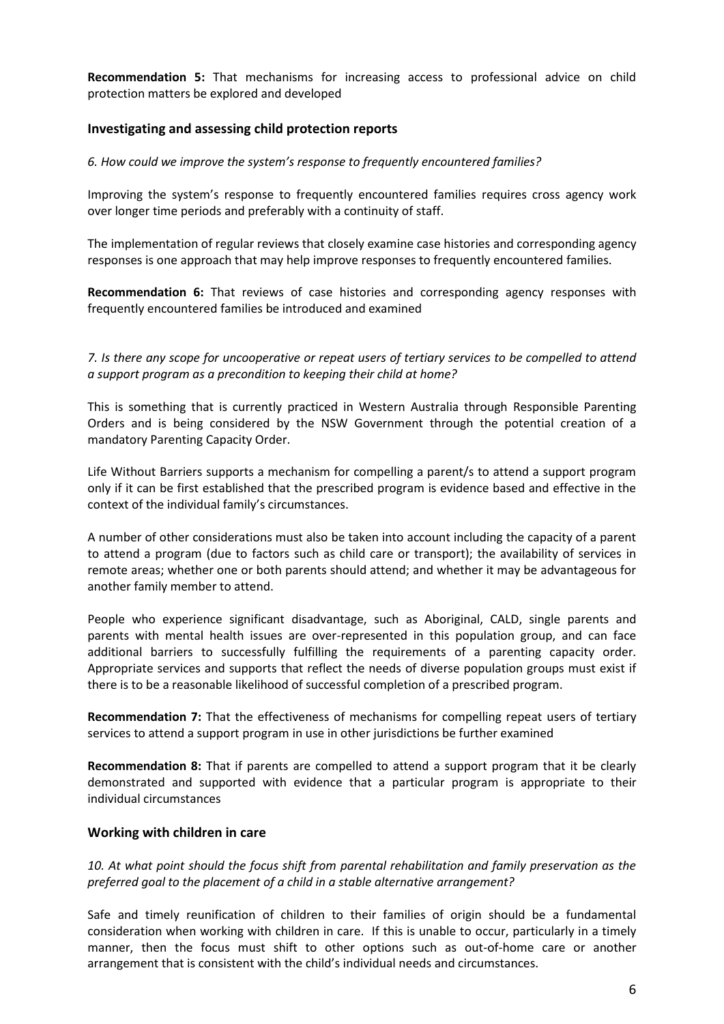**Recommendation 5:** That mechanisms for increasing access to professional advice on child protection matters be explored and developed

#### **Investigating and assessing child protection reports**

*6. How could we improve the system's response to frequently encountered families?*

Improving the system's response to frequently encountered families requires cross agency work over longer time periods and preferably with a continuity of staff.

The implementation of regular reviews that closely examine case histories and corresponding agency responses is one approach that may help improve responses to frequently encountered families.

**Recommendation 6:** That reviews of case histories and corresponding agency responses with frequently encountered families be introduced and examined

*7. Is there any scope for uncooperative or repeat users of tertiary services to be compelled to attend a support program as a precondition to keeping their child at home?*

This is something that is currently practiced in Western Australia through Responsible Parenting Orders and is being considered by the NSW Government through the potential creation of a mandatory Parenting Capacity Order.

Life Without Barriers supports a mechanism for compelling a parent/s to attend a support program only if it can be first established that the prescribed program is evidence based and effective in the context of the individual family's circumstances.

A number of other considerations must also be taken into account including the capacity of a parent to attend a program (due to factors such as child care or transport); the availability of services in remote areas; whether one or both parents should attend; and whether it may be advantageous for another family member to attend.

People who experience significant disadvantage, such as Aboriginal, CALD, single parents and parents with mental health issues are over-represented in this population group, and can face additional barriers to successfully fulfilling the requirements of a parenting capacity order. Appropriate services and supports that reflect the needs of diverse population groups must exist if there is to be a reasonable likelihood of successful completion of a prescribed program.

**Recommendation 7:** That the effectiveness of mechanisms for compelling repeat users of tertiary services to attend a support program in use in other jurisdictions be further examined

**Recommendation 8:** That if parents are compelled to attend a support program that it be clearly demonstrated and supported with evidence that a particular program is appropriate to their individual circumstances

#### **Working with children in care**

*10. At what point should the focus shift from parental rehabilitation and family preservation as the preferred goal to the placement of a child in a stable alternative arrangement?*

Safe and timely reunification of children to their families of origin should be a fundamental consideration when working with children in care. If this is unable to occur, particularly in a timely manner, then the focus must shift to other options such as out-of-home care or another arrangement that is consistent with the child's individual needs and circumstances.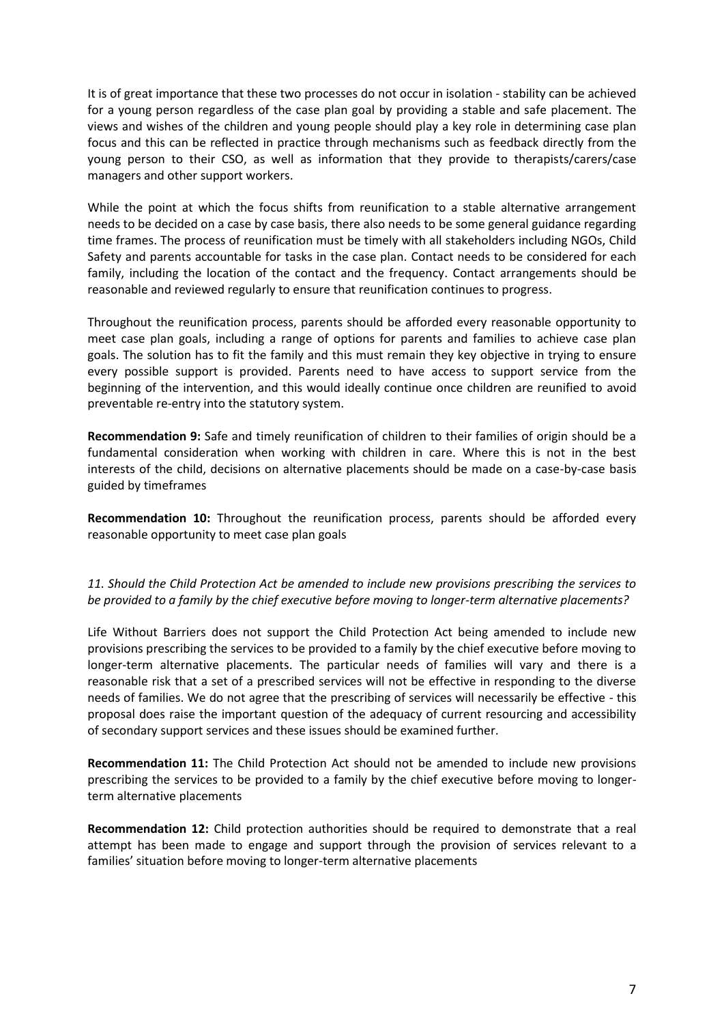It is of great importance that these two processes do not occur in isolation - stability can be achieved for a young person regardless of the case plan goal by providing a stable and safe placement. The views and wishes of the children and young people should play a key role in determining case plan focus and this can be reflected in practice through mechanisms such as feedback directly from the young person to their CSO, as well as information that they provide to therapists/carers/case managers and other support workers.

While the point at which the focus shifts from reunification to a stable alternative arrangement needs to be decided on a case by case basis, there also needs to be some general guidance regarding time frames. The process of reunification must be timely with all stakeholders including NGOs, Child Safety and parents accountable for tasks in the case plan. Contact needs to be considered for each family, including the location of the contact and the frequency. Contact arrangements should be reasonable and reviewed regularly to ensure that reunification continues to progress.

Throughout the reunification process, parents should be afforded every reasonable opportunity to meet case plan goals, including a range of options for parents and families to achieve case plan goals. The solution has to fit the family and this must remain they key objective in trying to ensure every possible support is provided. Parents need to have access to support service from the beginning of the intervention, and this would ideally continue once children are reunified to avoid preventable re-entry into the statutory system.

**Recommendation 9:** Safe and timely reunification of children to their families of origin should be a fundamental consideration when working with children in care. Where this is not in the best interests of the child, decisions on alternative placements should be made on a case-by-case basis guided by timeframes

**Recommendation 10:** Throughout the reunification process, parents should be afforded every reasonable opportunity to meet case plan goals

# *11. Should the Child Protection Act be amended to include new provisions prescribing the services to be provided to a family by the chief executive before moving to longer-term alternative placements?*

Life Without Barriers does not support the Child Protection Act being amended to include new provisions prescribing the services to be provided to a family by the chief executive before moving to longer-term alternative placements. The particular needs of families will vary and there is a reasonable risk that a set of a prescribed services will not be effective in responding to the diverse needs of families. We do not agree that the prescribing of services will necessarily be effective - this proposal does raise the important question of the adequacy of current resourcing and accessibility of secondary support services and these issues should be examined further.

**Recommendation 11:** The Child Protection Act should not be amended to include new provisions prescribing the services to be provided to a family by the chief executive before moving to longerterm alternative placements

**Recommendation 12:** Child protection authorities should be required to demonstrate that a real attempt has been made to engage and support through the provision of services relevant to a families' situation before moving to longer-term alternative placements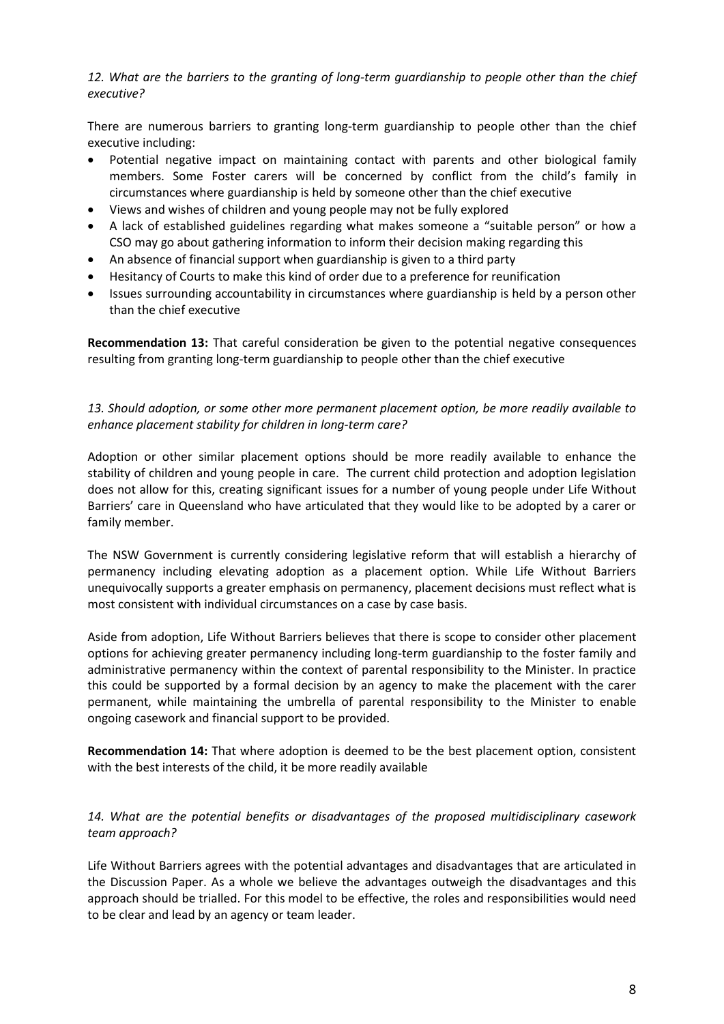*12. What are the barriers to the granting of long-term guardianship to people other than the chief executive?*

There are numerous barriers to granting long-term guardianship to people other than the chief executive including:

- Potential negative impact on maintaining contact with parents and other biological family members. Some Foster carers will be concerned by conflict from the child's family in circumstances where guardianship is held by someone other than the chief executive
- Views and wishes of children and young people may not be fully explored
- A lack of established guidelines regarding what makes someone a "suitable person" or how a CSO may go about gathering information to inform their decision making regarding this
- An absence of financial support when guardianship is given to a third party
- Hesitancy of Courts to make this kind of order due to a preference for reunification
- Issues surrounding accountability in circumstances where guardianship is held by a person other than the chief executive

**Recommendation 13:** That careful consideration be given to the potential negative consequences resulting from granting long-term guardianship to people other than the chief executive

*13. Should adoption, or some other more permanent placement option, be more readily available to enhance placement stability for children in long-term care?*

Adoption or other similar placement options should be more readily available to enhance the stability of children and young people in care. The current child protection and adoption legislation does not allow for this, creating significant issues for a number of young people under Life Without Barriers' care in Queensland who have articulated that they would like to be adopted by a carer or family member.

The NSW Government is currently considering legislative reform that will establish a hierarchy of permanency including elevating adoption as a placement option. While Life Without Barriers unequivocally supports a greater emphasis on permanency, placement decisions must reflect what is most consistent with individual circumstances on a case by case basis.

Aside from adoption, Life Without Barriers believes that there is scope to consider other placement options for achieving greater permanency including long-term guardianship to the foster family and administrative permanency within the context of parental responsibility to the Minister. In practice this could be supported by a formal decision by an agency to make the placement with the carer permanent, while maintaining the umbrella of parental responsibility to the Minister to enable ongoing casework and financial support to be provided.

**Recommendation 14:** That where adoption is deemed to be the best placement option, consistent with the best interests of the child, it be more readily available

# *14. What are the potential benefits or disadvantages of the proposed multidisciplinary casework team approach?*

Life Without Barriers agrees with the potential advantages and disadvantages that are articulated in the Discussion Paper. As a whole we believe the advantages outweigh the disadvantages and this approach should be trialled. For this model to be effective, the roles and responsibilities would need to be clear and lead by an agency or team leader.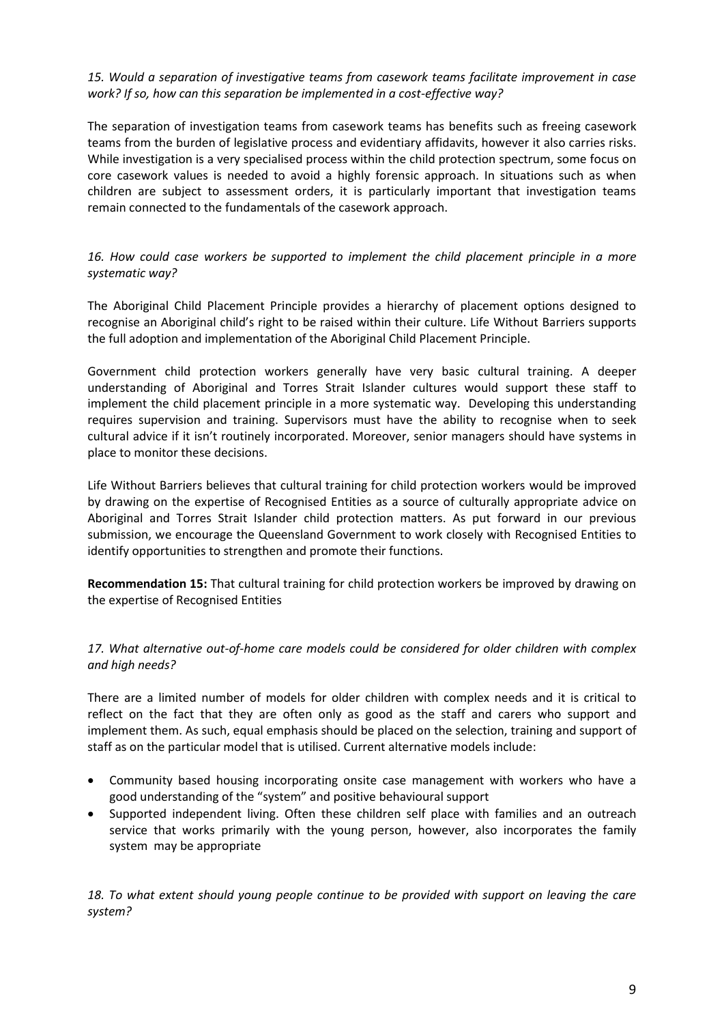*15. Would a separation of investigative teams from casework teams facilitate improvement in case work? If so, how can this separation be implemented in a cost-effective way?*

The separation of investigation teams from casework teams has benefits such as freeing casework teams from the burden of legislative process and evidentiary affidavits, however it also carries risks. While investigation is a very specialised process within the child protection spectrum, some focus on core casework values is needed to avoid a highly forensic approach. In situations such as when children are subject to assessment orders, it is particularly important that investigation teams remain connected to the fundamentals of the casework approach.

*16. How could case workers be supported to implement the child placement principle in a more systematic way?*

The Aboriginal Child Placement Principle provides a hierarchy of placement options designed to recognise an Aboriginal child's right to be raised within their culture. Life Without Barriers supports the full adoption and implementation of the Aboriginal Child Placement Principle.

Government child protection workers generally have very basic cultural training. A deeper understanding of Aboriginal and Torres Strait Islander cultures would support these staff to implement the child placement principle in a more systematic way. Developing this understanding requires supervision and training. Supervisors must have the ability to recognise when to seek cultural advice if it isn't routinely incorporated. Moreover, senior managers should have systems in place to monitor these decisions.

Life Without Barriers believes that cultural training for child protection workers would be improved by drawing on the expertise of Recognised Entities as a source of culturally appropriate advice on Aboriginal and Torres Strait Islander child protection matters. As put forward in our previous submission, we encourage the Queensland Government to work closely with Recognised Entities to identify opportunities to strengthen and promote their functions.

**Recommendation 15:** That cultural training for child protection workers be improved by drawing on the expertise of Recognised Entities

*17. What alternative out-of-home care models could be considered for older children with complex and high needs?*

There are a limited number of models for older children with complex needs and it is critical to reflect on the fact that they are often only as good as the staff and carers who support and implement them. As such, equal emphasis should be placed on the selection, training and support of staff as on the particular model that is utilised. Current alternative models include:

- Community based housing incorporating onsite case management with workers who have a good understanding of the "system" and positive behavioural support
- Supported independent living. Often these children self place with families and an outreach service that works primarily with the young person, however, also incorporates the family system may be appropriate

*18. To what extent should young people continue to be provided with support on leaving the care system?*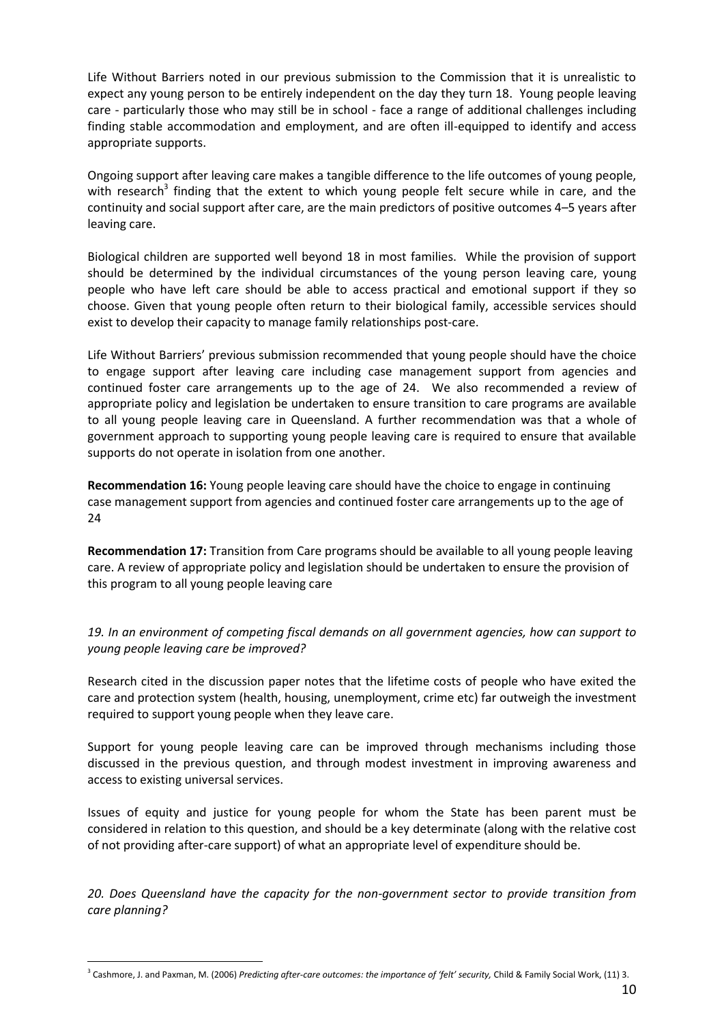Life Without Barriers noted in our previous submission to the Commission that it is unrealistic to expect any young person to be entirely independent on the day they turn 18. Young people leaving care - particularly those who may still be in school - face a range of additional challenges including finding stable accommodation and employment, and are often ill-equipped to identify and access appropriate supports.

Ongoing support after leaving care makes a tangible difference to the life outcomes of young people, with research<sup>3</sup> finding that the extent to which young people felt secure while in care, and the continuity and social support after care, are the main predictors of positive outcomes 4–5 years after leaving care.

Biological children are supported well beyond 18 in most families. While the provision of support should be determined by the individual circumstances of the young person leaving care, young people who have left care should be able to access practical and emotional support if they so choose. Given that young people often return to their biological family, accessible services should exist to develop their capacity to manage family relationships post-care.

Life Without Barriers' previous submission recommended that young people should have the choice to engage support after leaving care including case management support from agencies and continued foster care arrangements up to the age of 24. We also recommended a review of appropriate policy and legislation be undertaken to ensure transition to care programs are available to all young people leaving care in Queensland. A further recommendation was that a whole of government approach to supporting young people leaving care is required to ensure that available supports do not operate in isolation from one another.

**Recommendation 16:** Young people leaving care should have the choice to engage in continuing case management support from agencies and continued foster care arrangements up to the age of 24

**Recommendation 17:** Transition from Care programs should be available to all young people leaving care. A review of appropriate policy and legislation should be undertaken to ensure the provision of this program to all young people leaving care

*19. In an environment of competing fiscal demands on all government agencies, how can support to young people leaving care be improved?*

Research cited in the discussion paper notes that the lifetime costs of people who have exited the care and protection system (health, housing, unemployment, crime etc) far outweigh the investment required to support young people when they leave care.

Support for young people leaving care can be improved through mechanisms including those discussed in the previous question, and through modest investment in improving awareness and access to existing universal services.

Issues of equity and justice for young people for whom the State has been parent must be considered in relation to this question, and should be a key determinate (along with the relative cost of not providing after-care support) of what an appropriate level of expenditure should be.

*20. Does Queensland have the capacity for the non-government sector to provide transition from care planning?*

1

<sup>3</sup> Cashmore, J. and Paxman, M. (2006) *Predicting after-care outcomes: the importance of 'felt' security,* Child & Family Social Work, (11) 3.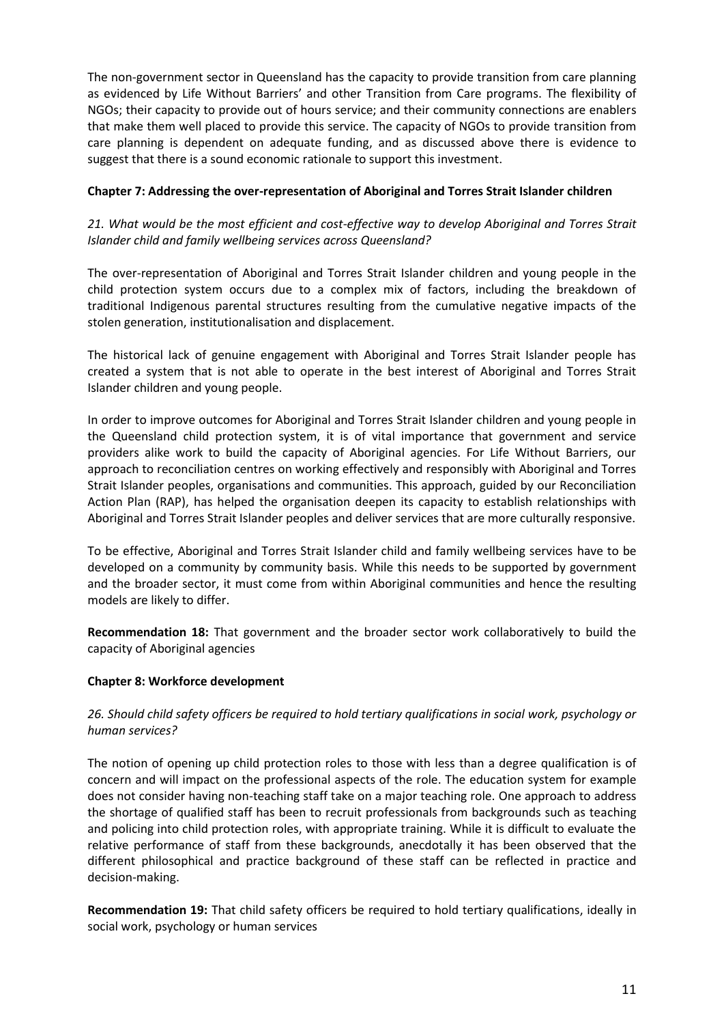The non-government sector in Queensland has the capacity to provide transition from care planning as evidenced by Life Without Barriers' and other Transition from Care programs. The flexibility of NGOs; their capacity to provide out of hours service; and their community connections are enablers that make them well placed to provide this service. The capacity of NGOs to provide transition from care planning is dependent on adequate funding, and as discussed above there is evidence to suggest that there is a sound economic rationale to support this investment.

# **Chapter 7: Addressing the over-representation of Aboriginal and Torres Strait Islander children**

# *21. What would be the most efficient and cost-effective way to develop Aboriginal and Torres Strait Islander child and family wellbeing services across Queensland?*

The over-representation of Aboriginal and Torres Strait Islander children and young people in the child protection system occurs due to a complex mix of factors, including the breakdown of traditional Indigenous parental structures resulting from the cumulative negative impacts of the stolen generation, institutionalisation and displacement.

The historical lack of genuine engagement with Aboriginal and Torres Strait Islander people has created a system that is not able to operate in the best interest of Aboriginal and Torres Strait Islander children and young people.

In order to improve outcomes for Aboriginal and Torres Strait Islander children and young people in the Queensland child protection system, it is of vital importance that government and service providers alike work to build the capacity of Aboriginal agencies. For Life Without Barriers, our approach to reconciliation centres on working effectively and responsibly with Aboriginal and Torres Strait Islander peoples, organisations and communities. This approach, guided by our Reconciliation Action Plan (RAP), has helped the organisation deepen its capacity to establish relationships with Aboriginal and Torres Strait Islander peoples and deliver services that are more culturally responsive.

To be effective, Aboriginal and Torres Strait Islander child and family wellbeing services have to be developed on a community by community basis. While this needs to be supported by government and the broader sector, it must come from within Aboriginal communities and hence the resulting models are likely to differ.

**Recommendation 18:** That government and the broader sector work collaboratively to build the capacity of Aboriginal agencies

# **Chapter 8: Workforce development**

# *26. Should child safety officers be required to hold tertiary qualifications in social work, psychology or human services?*

The notion of opening up child protection roles to those with less than a degree qualification is of concern and will impact on the professional aspects of the role. The education system for example does not consider having non-teaching staff take on a major teaching role. One approach to address the shortage of qualified staff has been to recruit professionals from backgrounds such as teaching and policing into child protection roles, with appropriate training. While it is difficult to evaluate the relative performance of staff from these backgrounds, anecdotally it has been observed that the different philosophical and practice background of these staff can be reflected in practice and decision-making.

**Recommendation 19:** That child safety officers be required to hold tertiary qualifications, ideally in social work, psychology or human services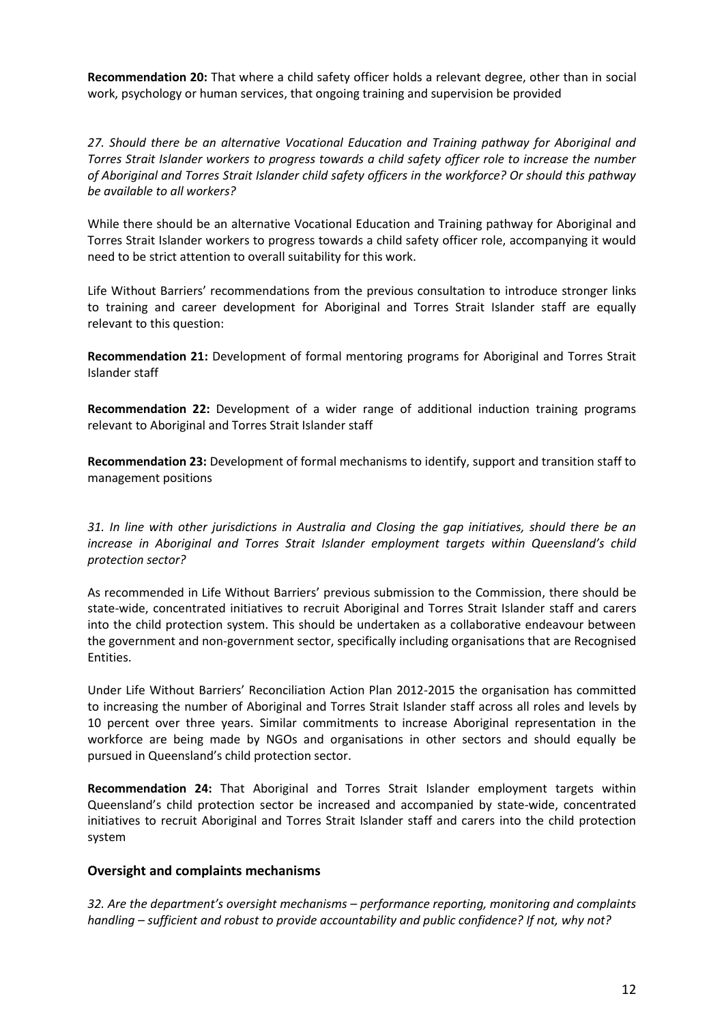**Recommendation 20:** That where a child safety officer holds a relevant degree, other than in social work, psychology or human services, that ongoing training and supervision be provided

*27. Should there be an alternative Vocational Education and Training pathway for Aboriginal and Torres Strait Islander workers to progress towards a child safety officer role to increase the number of Aboriginal and Torres Strait Islander child safety officers in the workforce? Or should this pathway be available to all workers?*

While there should be an alternative Vocational Education and Training pathway for Aboriginal and Torres Strait Islander workers to progress towards a child safety officer role, accompanying it would need to be strict attention to overall suitability for this work.

Life Without Barriers' recommendations from the previous consultation to introduce stronger links to training and career development for Aboriginal and Torres Strait Islander staff are equally relevant to this question:

**Recommendation 21:** Development of formal mentoring programs for Aboriginal and Torres Strait Islander staff

**Recommendation 22:** Development of a wider range of additional induction training programs relevant to Aboriginal and Torres Strait Islander staff

**Recommendation 23:** Development of formal mechanisms to identify, support and transition staff to management positions

*31. In line with other jurisdictions in Australia and Closing the gap initiatives, should there be an increase in Aboriginal and Torres Strait Islander employment targets within Queensland's child protection sector?*

As recommended in Life Without Barriers' previous submission to the Commission, there should be state-wide, concentrated initiatives to recruit Aboriginal and Torres Strait Islander staff and carers into the child protection system. This should be undertaken as a collaborative endeavour between the government and non-government sector, specifically including organisations that are Recognised Entities.

Under Life Without Barriers' Reconciliation Action Plan 2012-2015 the organisation has committed to increasing the number of Aboriginal and Torres Strait Islander staff across all roles and levels by 10 percent over three years. Similar commitments to increase Aboriginal representation in the workforce are being made by NGOs and organisations in other sectors and should equally be pursued in Queensland's child protection sector.

**Recommendation 24:** That Aboriginal and Torres Strait Islander employment targets within Queensland's child protection sector be increased and accompanied by state-wide, concentrated initiatives to recruit Aboriginal and Torres Strait Islander staff and carers into the child protection system

# **Oversight and complaints mechanisms**

*32. Are the department's oversight mechanisms – performance reporting, monitoring and complaints handling – sufficient and robust to provide accountability and public confidence? If not, why not?*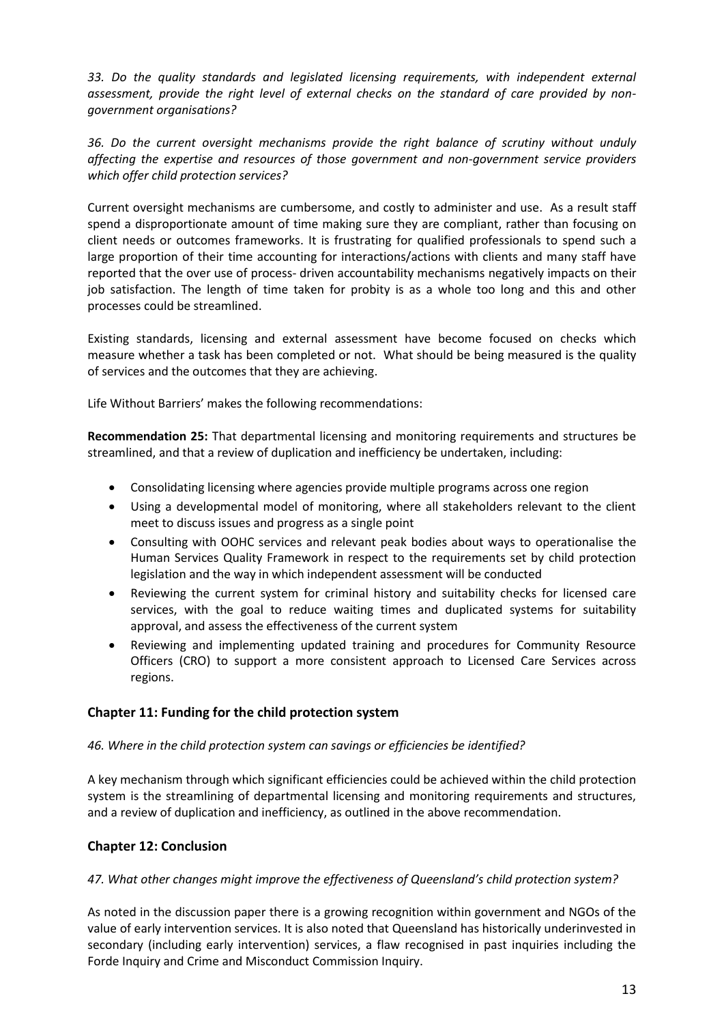*33. Do the quality standards and legislated licensing requirements, with independent external assessment, provide the right level of external checks on the standard of care provided by nongovernment organisations?*

*36. Do the current oversight mechanisms provide the right balance of scrutiny without unduly affecting the expertise and resources of those government and non-government service providers which offer child protection services?*

Current oversight mechanisms are cumbersome, and costly to administer and use. As a result staff spend a disproportionate amount of time making sure they are compliant, rather than focusing on client needs or outcomes frameworks. It is frustrating for qualified professionals to spend such a large proportion of their time accounting for interactions/actions with clients and many staff have reported that the over use of process- driven accountability mechanisms negatively impacts on their job satisfaction. The length of time taken for probity is as a whole too long and this and other processes could be streamlined.

Existing standards, licensing and external assessment have become focused on checks which measure whether a task has been completed or not. What should be being measured is the quality of services and the outcomes that they are achieving.

Life Without Barriers' makes the following recommendations:

**Recommendation 25:** That departmental licensing and monitoring requirements and structures be streamlined, and that a review of duplication and inefficiency be undertaken, including:

- Consolidating licensing where agencies provide multiple programs across one region
- Using a developmental model of monitoring, where all stakeholders relevant to the client meet to discuss issues and progress as a single point
- Consulting with OOHC services and relevant peak bodies about ways to operationalise the Human Services Quality Framework in respect to the requirements set by child protection legislation and the way in which independent assessment will be conducted
- Reviewing the current system for criminal history and suitability checks for licensed care services, with the goal to reduce waiting times and duplicated systems for suitability approval, and assess the effectiveness of the current system
- Reviewing and implementing updated training and procedures for Community Resource Officers (CRO) to support a more consistent approach to Licensed Care Services across regions.

# **Chapter 11: Funding for the child protection system**

# *46. Where in the child protection system can savings or efficiencies be identified?*

A key mechanism through which significant efficiencies could be achieved within the child protection system is the streamlining of departmental licensing and monitoring requirements and structures, and a review of duplication and inefficiency, as outlined in the above recommendation.

# **Chapter 12: Conclusion**

# *47. What other changes might improve the effectiveness of Queensland's child protection system?*

As noted in the discussion paper there is a growing recognition within government and NGOs of the value of early intervention services. It is also noted that Queensland has historically underinvested in secondary (including early intervention) services, a flaw recognised in past inquiries including the Forde Inquiry and Crime and Misconduct Commission Inquiry.